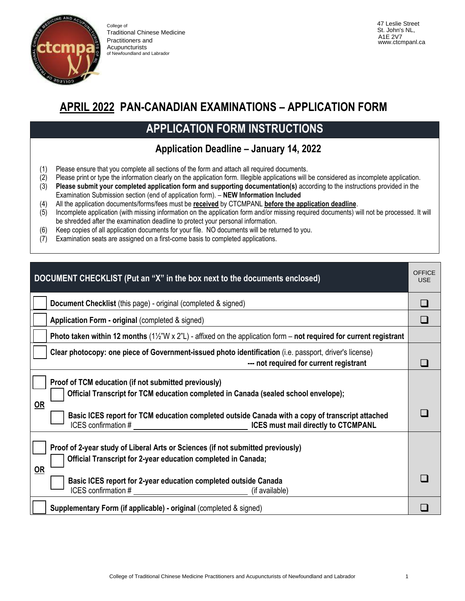

College of Traditional Chinese Medicine Practitioners and **Acupuncturists** of Newfoundland and Labrador

47 Leslie Street St. John's NL, A1E 2V7 www.ctcmpanl.ca

## **APRIL 2022 PAN-CANADIAN EXAMINATIONS – APPLICATION FORM**

# **APPLICATION FORM INSTRUCTIONS**

#### **Application Deadline – January 14, 2022**

- (1) Please ensure that you complete all sections of the form and attach all required documents.
- (2) Please print or type the information clearly on the application form. Illegible applications will be considered as incomplete application.
- (3) **Please submit your completed application form and supporting documentation(s)** according to the instructions provided in the Examination Submission section (end of application form). – **NEW Information Included**
- (4) All the application documents/forms/fees must be **received** by CTCMPANL **before the application deadline**.
- (5) Incomplete application (with missing information on the application form and/or missing required documents) will not be processed. It will be shredded after the examination deadline to protect your personal information.
- (6) Keep copies of all application documents for your file. NO documents will be returned to you.
- (7) Examination seats are assigned on a first-come basis to completed applications.

| DOCUMENT CHECKLIST (Put an "X" in the box next to the documents enclosed)                                                                                                                                                                                                          | <b>OFFICE</b><br><b>USE</b> |
|------------------------------------------------------------------------------------------------------------------------------------------------------------------------------------------------------------------------------------------------------------------------------------|-----------------------------|
| Document Checklist (this page) - original (completed & signed)                                                                                                                                                                                                                     |                             |
| Application Form - original (completed & signed)                                                                                                                                                                                                                                   |                             |
| Photo taken within 12 months ( $1\frac{1}{2}$ "W x 2"L) - affixed on the application form – not required for current registrant                                                                                                                                                    |                             |
| Clear photocopy: one piece of Government-issued photo identification (i.e. passport, driver's license)<br>--- not required for current registrant                                                                                                                                  |                             |
| Proof of TCM education (if not submitted previously)<br>Official Transcript for TCM education completed in Canada (sealed school envelope);<br><b>OR</b><br>Basic ICES report for TCM education completed outside Canada with a copy of transcript attached<br>ICES confirmation # |                             |
| Proof of 2-year study of Liberal Arts or Sciences (if not submitted previously)<br>Official Transcript for 2-year education completed in Canada;<br>$OR$<br>Basic ICES report for 2-year education completed outside Canada                                                        |                             |
| $ICES$ confirmation $\#$<br>(if available)                                                                                                                                                                                                                                         |                             |
| Supplementary Form (if applicable) - original (completed & signed)                                                                                                                                                                                                                 |                             |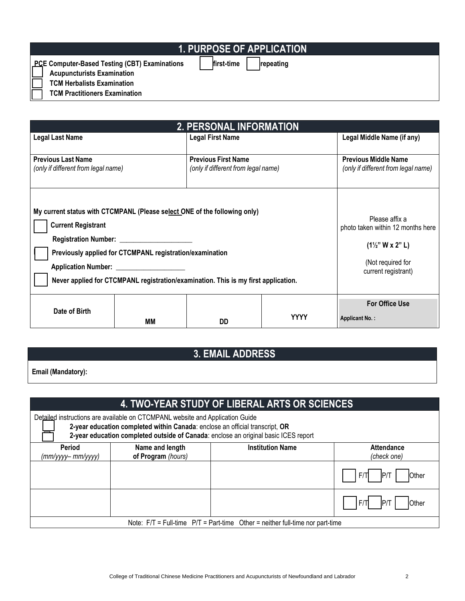## **1. PURPOSE OF APPLICATION**

**PCE Computer-Based Testing (CBT) Examinations** ❑ **first-time** ❑ **repeating**

❑ **Acupuncturists Examination**

❑ **TCM Herbalists Examination**

❑ **TCM Practitioners Examination**

| <b>2. PERSONAL INFORMATION</b>                                                                                                                                                                                                                                                                         |    |                                                                                                                                |                            |                                                                    |  |  |  |
|--------------------------------------------------------------------------------------------------------------------------------------------------------------------------------------------------------------------------------------------------------------------------------------------------------|----|--------------------------------------------------------------------------------------------------------------------------------|----------------------------|--------------------------------------------------------------------|--|--|--|
| Legal Last Name                                                                                                                                                                                                                                                                                        |    | <b>Legal First Name</b>                                                                                                        | Legal Middle Name (if any) |                                                                    |  |  |  |
| <b>Previous Last Name</b><br>(only if different from legal name)                                                                                                                                                                                                                                       |    | <b>Previous First Name</b><br>(only if different from legal name)                                                              |                            | <b>Previous Middle Name</b><br>(only if different from legal name) |  |  |  |
| My current status with CTCMPANL (Please select ONE of the following only)<br><b>Current Registrant</b><br>Registration Number: _____________________<br>Previously applied for CTCMPANL registration/examination<br>Never applied for CTCMPANL registration/examination. This is my first application. |    | Please affix a<br>photo taken within 12 months here<br>$(1\frac{1}{2}$ " W x 2" L)<br>(Not required for<br>current registrant) |                            |                                                                    |  |  |  |
| Date of Birth                                                                                                                                                                                                                                                                                          | MМ | DD                                                                                                                             | <b>YYYY</b>                | <b>For Office Use</b><br><b>Applicant No.:</b>                     |  |  |  |

### **3. EMAIL ADDRESS**

**Email (Mandatory):**

#### **4. TWO-YEAR STUDY OF LIBERAL ARTS OR SCIENCES**

| Detailed instructions are available on CTCMPANL website and Application Guide<br>2-year education completed within Canada: enclose an official transcript, OR<br>2-year education completed outside of Canada: enclose an original basic ICES report |                    |                         |                   |  |  |  |  |
|------------------------------------------------------------------------------------------------------------------------------------------------------------------------------------------------------------------------------------------------------|--------------------|-------------------------|-------------------|--|--|--|--|
| <b>Period</b>                                                                                                                                                                                                                                        | Name and length    | <b>Institution Name</b> | <b>Attendance</b> |  |  |  |  |
| (mm/yyyy– mm/yyyy)                                                                                                                                                                                                                                   | of Program (hours) |                         | (check one)       |  |  |  |  |
|                                                                                                                                                                                                                                                      |                    |                         | <b>Other</b>      |  |  |  |  |
|                                                                                                                                                                                                                                                      |                    |                         | <b>Other</b>      |  |  |  |  |
| Note: $F/T = Full-time$ $P/T = Part-time$ Other = neither full-time nor part-time                                                                                                                                                                    |                    |                         |                   |  |  |  |  |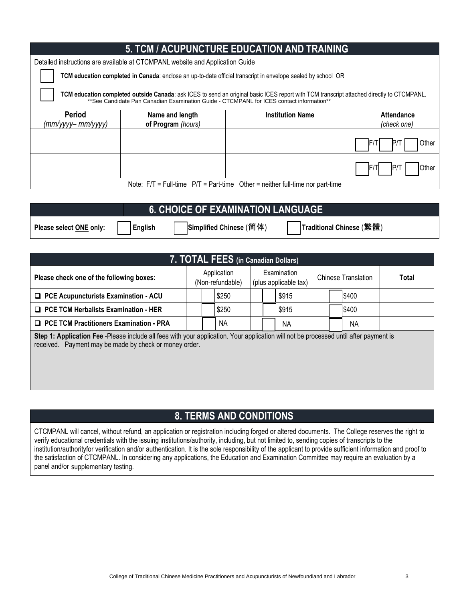| 5. TCM / ACUPUNCTURE EDUCATION AND TRAINING                                                                                                                                                                                                   |                    |                         |                     |  |  |  |  |
|-----------------------------------------------------------------------------------------------------------------------------------------------------------------------------------------------------------------------------------------------|--------------------|-------------------------|---------------------|--|--|--|--|
| Detailed instructions are available at CTCMPANL website and Application Guide                                                                                                                                                                 |                    |                         |                     |  |  |  |  |
| TCM education completed in Canada: enclose an up-to-date official transcript in envelope sealed by school OR                                                                                                                                  |                    |                         |                     |  |  |  |  |
| <b>TCM education completed outside Canada</b> : ask ICES to send an original basic ICES report with TCM transcript attached directly to CTCMPANL.<br>**See Candidate Pan Canadian Examination Guide - CTCMPANL for ICES contact information** |                    |                         |                     |  |  |  |  |
| <b>Period</b>                                                                                                                                                                                                                                 | Name and length    | <b>Institution Name</b> | <b>Attendance</b>   |  |  |  |  |
| $(mm/yyy - mm/yyy)$                                                                                                                                                                                                                           | of Program (hours) |                         | (check one)         |  |  |  |  |
|                                                                                                                                                                                                                                               |                    |                         | Other<br>IF/T       |  |  |  |  |
|                                                                                                                                                                                                                                               |                    |                         | <b>Other</b><br>IP/ |  |  |  |  |
| Note: $F/T = Full-time$ $P/T = Part-time$ Other = neither full-time nor part-time                                                                                                                                                             |                    |                         |                     |  |  |  |  |

|                         |                | <b>6. CHOICE OF EXAMINATION LANGUAGE</b> |                          |  |  |  |  |  |  |  |
|-------------------------|----------------|------------------------------------------|--------------------------|--|--|--|--|--|--|--|
| Please select ONE only: | <b>English</b> | Simplified Chinese (简体)                  | Traditional Chinese (繁體) |  |  |  |  |  |  |  |

| 7. TOTAL FEES (in Canadian Dollars)                                                                                                   |                                 |  |                                      |                            |  |       |       |  |              |  |
|---------------------------------------------------------------------------------------------------------------------------------------|---------------------------------|--|--------------------------------------|----------------------------|--|-------|-------|--|--------------|--|
| Please check one of the following boxes:                                                                                              | Application<br>(Non-refundable) |  | Examination<br>(plus applicable tax) | <b>Chinese Translation</b> |  |       | Total |  |              |  |
| □ PCE Acupuncturists Examination - ACU                                                                                                |                                 |  | \$250                                |                            |  | \$915 |       |  | \$400        |  |
| $\Box$ PCE TCM Herbalists Examination - HER                                                                                           |                                 |  | \$250                                |                            |  | S915  |       |  | <b>IS400</b> |  |
| <b>D</b> PCE TCM Practitioners Examination - PRA                                                                                      |                                 |  | NА                                   |                            |  | NА    |       |  | ΝA           |  |
| Step 1: Application Fee -Please include all fees with your application. Your application will not be processed until after nayment is |                                 |  |                                      |                            |  |       |       |  |              |  |

received. Payment may be made by check or money order. **Step 1: Application Fee** -Please include all fees with your application. Your application will not be processed until after payment is

### **8. TERMS AND CONDITIONS**

CTCMPANL will cancel, without refund, an application or registration including forged or altered documents. The College reserves the right to verify educational credentials with the issuing institutions/authority, including, but not limited to, sending copies of transcripts to the institution/authorityfor verification and/or authentication. It is the sole responsibility of the applicant to provide sufficient information and proof to the satisfaction of CTCMPANL. In considering any applications, the Education and Examination Committee may require an evaluation by a panel and/or supplementary testing.